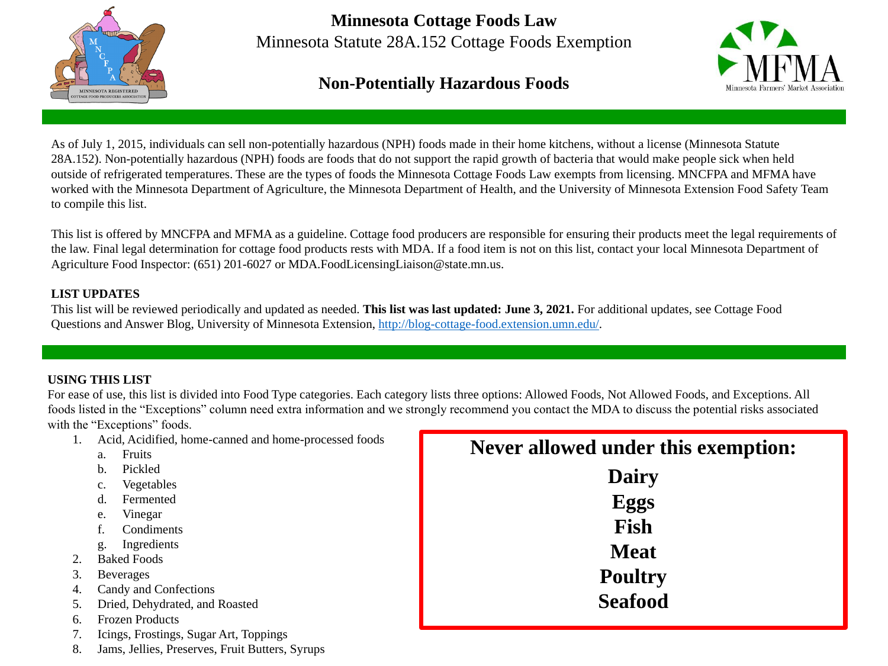

## **Minnesota Cottage Foods Law** Minnesota Statute 28A.152 Cottage Foods Exemption

#### **Non-Potentially Hazardous Foods**

As of July 1, 2015, individuals can sell non-potentially hazardous (NPH) foods made in their home kitchens, without a license (Minnesota Statute 28A.152). Non-potentially hazardous (NPH) foods are foods that do not support the rapid growth of bacteria that would make people sick when held outside of refrigerated temperatures. These are the types of foods the Minnesota Cottage Foods Law exempts from licensing. MNCFPA and MFMA have worked with the Minnesota Department of Agriculture, the Minnesota Department of Health, and the University of Minnesota Extension Food Safety Team to compile this list.

This list will be reviewed periodically and updated as needed. **This list was last updated: June 3, 2021.** For additional updates, see Cottage Food Questions and Answer Blog, University of Minnesota Extension, [http://blog-cottage-food.extension.umn.edu/.](http://blog-cottage-food.extension.umn.edu/)

For ease of use, this list is divided into Food Type categories. Each category lists three options: Allowed Foods, Not Allowed Foods, and Exceptions. All foods listed in the "Exceptions" column need extra information and we strongly recommend you contact the MDA to discuss the potential risks associated with the "Exceptions" foods.

This list is offered by MNCFPA and MFMA as a guideline. Cottage food producers are responsible for ensuring their products meet the legal requirements of the law. Final legal determination for cottage food products rests with MDA. If a food item is not on this list, contact your local Minnesota Department of Agriculture Food Inspector: (651) 201-6027 or MDA.FoodLicensingLiaison@state.mn.us.

## **der this exemption: airy Eggs Fish Meat Poultry Seafood**

#### **LIST UPDATES**

#### **USING THIS LIST**

- 1. Acid, Acidified, home-canned and home-processed foods
	- a. Fruits
	- b. Pickled
	- c. Vegetables
	- d. Fermented
	- e. Vinegar
	- f. Condiments
	- g. Ingredients
- 2. Baked Foods
- 3. Beverages
- 4. Candy and Confections
- 5. Dried, Dehydrated, and Roasted
- 6. Frozen Products
- 7. Icings, Frostings, Sugar Art, Toppings
- 8. Jams, Jellies, Preserves, Fruit Butters, Syrups

| $\mathbf{\hat{c}}$<br>$\Box$<br>E |
|-----------------------------------|
|                                   |
|                                   |
| F                                 |
| M                                 |
| Pot                               |
| <b>Sea</b>                        |

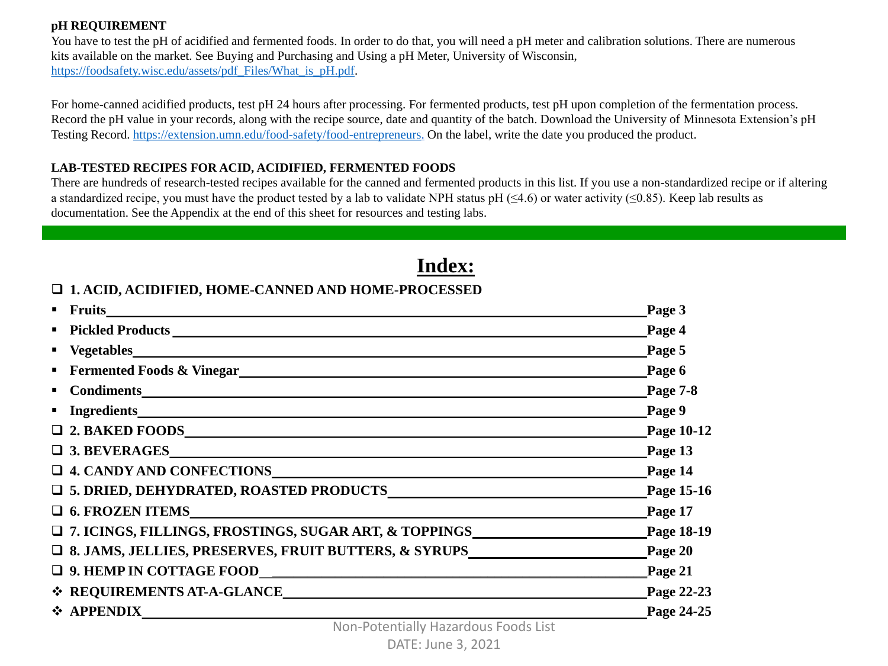#### **pH REQUIREMENT**

You have to test the pH of acidified and fermented foods. In order to do that, you will need a pH meter and calibration solutions. There are numerous kits available on the market. See Buying and Purchasing and Using a pH Meter, University of Wisconsin, [https://foodsafety.wisc.edu/assets/pdf\\_Files/What\\_is\\_pH.pdf.](https://foodsafety.wisc.edu/assets/pdf_Files/What_is_pH.pdf)

For home-canned acidified products, test pH 24 hours after processing. For fermented products, test pH upon completion of the fermentation process. Record the pH value in your records, along with the recipe source, date and quantity of the batch. Download the University of Minnesota Extension's pH Testing Record.<https://extension.umn.edu/food-safety/food-entrepreneurs>. On the label, write the date you produced the product.

#### **LAB-TESTED RECIPES FOR ACID, ACIDIFIED, FERMENTED FOODS**

There are hundreds of research-tested recipes available for the canned and fermented products in this list. If you use a non-standardized recipe or if altering a standardized recipe, you must have the product tested by a lab to validate NPH status pH ( $\leq$ 4.6) or water activity ( $\leq$ 0.85). Keep lab results as documentation. See the Appendix at the end of this sheet for resources and testing labs.

**Index:**

#### **1. ACID, ACIDIFIED, HOME-CANNED AND HOME-PROCESSED**

|                                                          | Page 3             |
|----------------------------------------------------------|--------------------|
|                                                          | $\_\$ {Page\ 4}    |
| $\blacksquare$                                           | Page 5             |
| $\qquad \qquad \blacksquare$                             | Page $6$           |
| $\blacksquare$                                           | Page $7-8$         |
| $\blacksquare$                                           | Page 9             |
| □ 2. BAKED FOODS<br><u> □ 2. BAKED FOODS</u>             | Page 10-12         |
| □ 3. BEVERAGES                                           |                    |
| □ 4. CANDY AND CONFECTIONS                               | Page 14            |
|                                                          | Page 15-16         |
| □ 6. FROZEN ITEMS                                        | Page 17            |
|                                                          |                    |
| □ 8. JAMS, JELLIES, PRESERVES, FRUIT BUTTERS, & SYRUPS   | Page 20            |
|                                                          | $\epsilon$ Page 21 |
| ❖ REQUIREMENTS AT-A-GLANCE<br>← REQUIREMENTS AT-A-GLANCE | Page 22-23         |
| ❖ APPENDIX                                               | Page 24-25         |

| Page 3            |
|-------------------|
| <b>Page 4</b>     |
| Page 5            |
| Page 6            |
| <b>Page 7-8</b>   |
| Page 9            |
| <b>Page 10-12</b> |
| Page 13           |
| Page 14           |
| <b>Page 15-16</b> |
| Page 17           |
| Page 18-19        |
| Page 20           |
| Page 21           |
| Page 22-23        |
| Page 24-25        |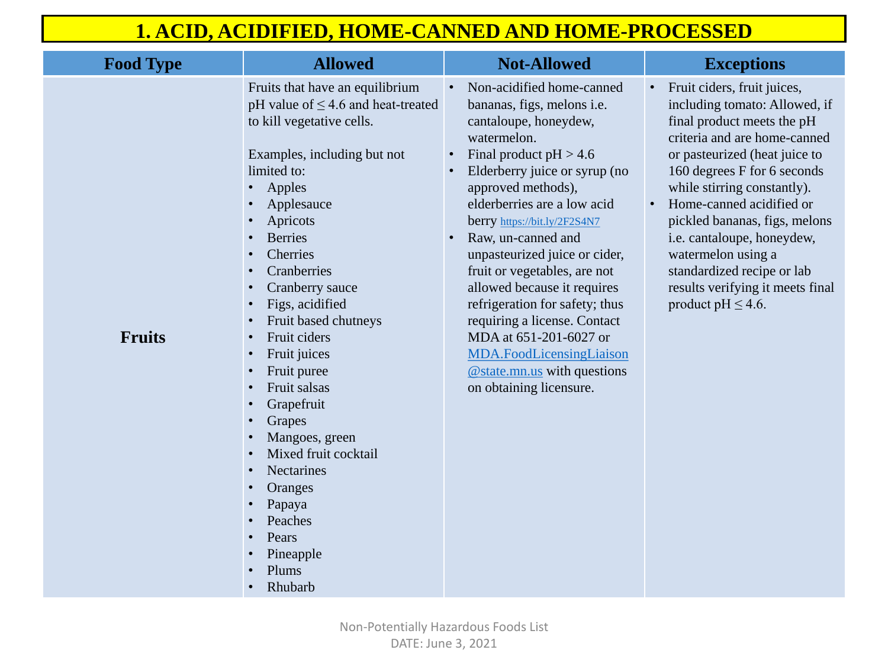• Fruit ciders, fruit juices, including tomato: Allowed, if final product meets the pH criteria and are home-canned or pasteurized (heat juice to 160 degrees F for 6 seconds while stirring constantly). • Home-canned acidified or pickled bananas, figs, melons i.e. cantaloupe, honeydew, watermelon using a standardized recipe or lab results verifying it meets final product pH  $\leq$  4.6.

| <b>Food Type</b> | <b>Allowed</b>                                                                                                                                                                                                                                                                                                                                                                                                                                                                                                                                     | <b>Not-Allowed</b>                                                                                                                                                                                                                                                                                                                                                                                                                                                                                                                                                  |
|------------------|----------------------------------------------------------------------------------------------------------------------------------------------------------------------------------------------------------------------------------------------------------------------------------------------------------------------------------------------------------------------------------------------------------------------------------------------------------------------------------------------------------------------------------------------------|---------------------------------------------------------------------------------------------------------------------------------------------------------------------------------------------------------------------------------------------------------------------------------------------------------------------------------------------------------------------------------------------------------------------------------------------------------------------------------------------------------------------------------------------------------------------|
| <b>Fruits</b>    | Fruits that have an equilibrium<br>pH value of $\leq$ 4.6 and heat-treated<br>to kill vegetative cells.<br>Examples, including but not<br>limited to:<br>Apples<br>Applesauce<br>Apricots<br><b>Berries</b><br><b>Cherries</b><br>Cranberries<br><b>Cranberry</b> sauce<br>Figs, acidified<br>Fruit based chutneys<br>Fruit ciders<br>Fruit juices<br>Fruit puree<br>Fruit salsas<br>Grapefruit<br>Grapes<br>Mangoes, green<br>Mixed fruit cocktail<br><b>Nectarines</b><br>Oranges<br>Papaya<br>Peaches<br>Pears<br>Pineapple<br>Plums<br>Rhubarb | Non-acidified home-canned<br>bananas, figs, melons <i>i.e.</i><br>cantaloupe, honeydew,<br>watermelon.<br>Final product $pH > 4.6$<br>Elderberry juice or syrup (no<br>approved methods),<br>elderberries are a low acid<br>berry https://bit.ly/2F2S4N7<br>Raw, un-canned and<br>unpasteurized juice or cider,<br>fruit or vegetables, are not<br>allowed because it requires<br>refrigeration for safety; thus<br>requiring a license. Contact<br>MDA at 651-201-6027 or<br>MDA.FoodLicensingLiaison<br>$@$ state mn.us with questions<br>on obtaining licensure. |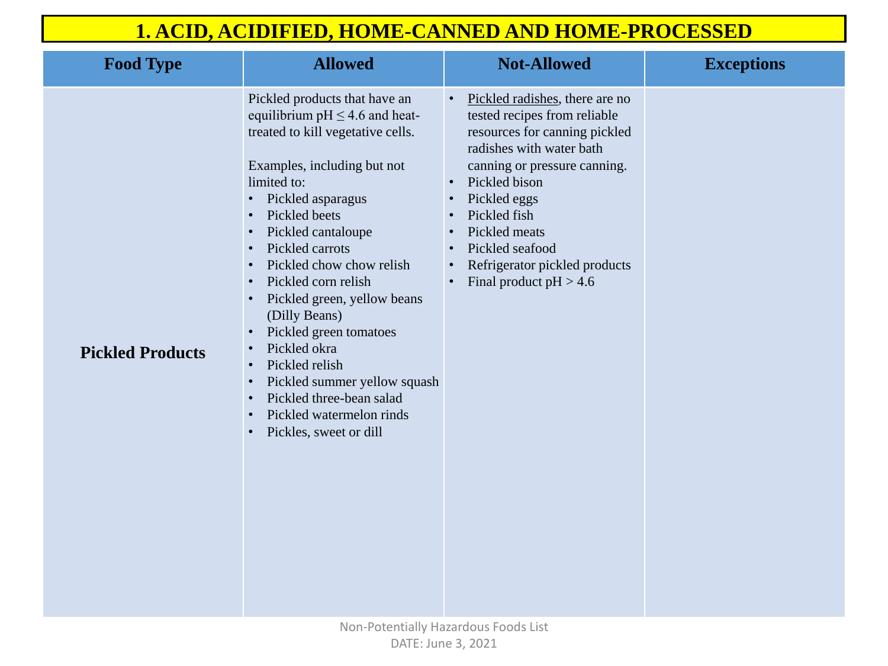| <b>Food Type</b>        | <b>Allowed</b>                                                                                                                                                                                                                                                                                                                                                                                                                                                                                                          | <b>Not-Allowed</b>                                                                                                                                                                                                                                                                                                                                                             | <b>Exceptions</b> |
|-------------------------|-------------------------------------------------------------------------------------------------------------------------------------------------------------------------------------------------------------------------------------------------------------------------------------------------------------------------------------------------------------------------------------------------------------------------------------------------------------------------------------------------------------------------|--------------------------------------------------------------------------------------------------------------------------------------------------------------------------------------------------------------------------------------------------------------------------------------------------------------------------------------------------------------------------------|-------------------|
| <b>Pickled Products</b> | Pickled products that have an<br>equilibrium $pH \leq 4.6$ and heat-<br>treated to kill vegetative cells.<br>Examples, including but not<br>limited to:<br>Pickled asparagus<br>Pickled beets<br>Pickled cantaloupe<br>Pickled carrots<br>Pickled chow chow relish<br>Pickled corn relish<br>Pickled green, yellow beans<br>(Dilly Beans)<br>Pickled green tomatoes<br>Pickled okra<br>Pickled relish<br>Pickled summer yellow squash<br>Pickled three-bean salad<br>Pickled watermelon rinds<br>Pickles, sweet or dill | Pickled radishes, there are no<br>tested recipes from reliable<br>resources for canning pickled<br>radishes with water bath<br>canning or pressure canning.<br>Pickled bison<br>$\bullet$<br>Pickled eggs<br>$\bullet$<br>Pickled fish<br>$\bullet$<br>Pickled meats<br>$\bullet$<br>Pickled seafood<br>$\bullet$<br>Refrigerator pickled products<br>Final product $pH > 4.6$ |                   |

|                 | <b>Exceptions</b> |
|-----------------|-------------------|
| $\overline{O}$  |                   |
| $\mathbf{d}$    |                   |
| $\frac{1}{2}$ . |                   |
|                 |                   |
|                 |                   |
| $\mathsf{ts}$   |                   |
|                 |                   |
|                 |                   |
|                 |                   |
|                 |                   |
|                 |                   |
|                 |                   |
|                 |                   |
|                 |                   |
|                 |                   |
|                 |                   |
|                 |                   |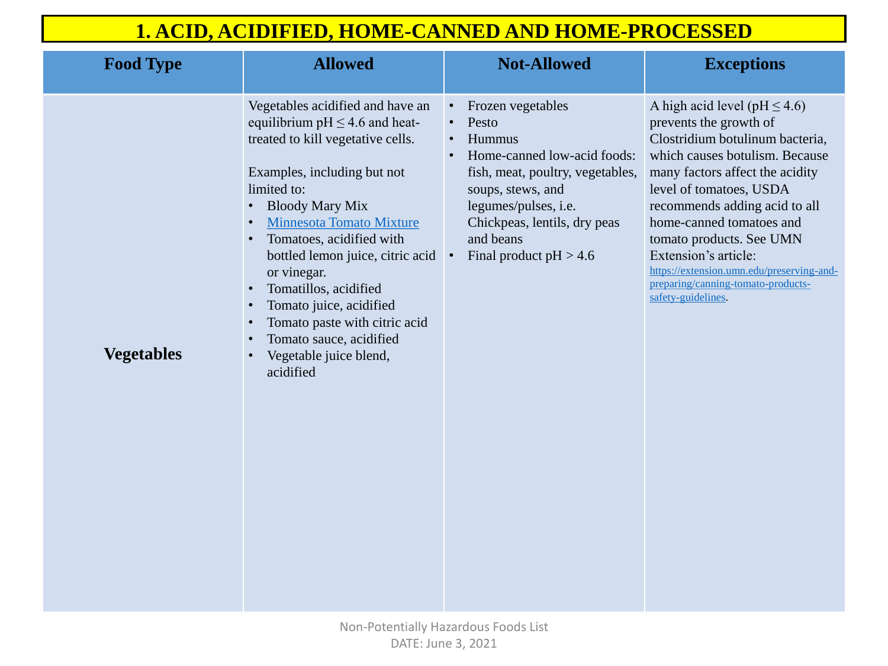| <b>Food Type</b>  | <b>Allowed</b>                                                                                                                                                                                                                                                                                                                                                                                                                                                | <b>Not-Allowed</b>                                                                                                                                                                                                                                                                             |
|-------------------|---------------------------------------------------------------------------------------------------------------------------------------------------------------------------------------------------------------------------------------------------------------------------------------------------------------------------------------------------------------------------------------------------------------------------------------------------------------|------------------------------------------------------------------------------------------------------------------------------------------------------------------------------------------------------------------------------------------------------------------------------------------------|
| <b>Vegetables</b> | Vegetables acidified and have an<br>equilibrium $pH \leq 4.6$ and heat-<br>treated to kill vegetative cells.<br>Examples, including but not<br>limited to:<br><b>Bloody Mary Mix</b><br><b>Minnesota Tomato Mixture</b><br>Tomatoes, acidified with<br>bottled lemon juice, citric acid<br>or vinegar.<br>Tomatillos, acidified<br>Tomato juice, acidified<br>Tomato paste with citric acid<br>Tomato sauce, acidified<br>Vegetable juice blend,<br>acidified | Frozen vegetables<br>$\bullet$<br>Pesto<br>$\bullet$<br>Hummus<br>$\bullet$<br>Home-canned low-acid foods:<br>$\bullet$<br>fish, meat, poultry, vegetables,<br>soups, stews, and<br>legumes/pulses, i.e.<br>Chickpeas, lentils, dry peas<br>and beans<br>Final product $pH > 4.6$<br>$\bullet$ |

A high acid level (pH  $\leq$  4.6) prevents the growth of Clostridium botulinum bacteria, which causes botulism. Because many factors affect the acidity level of tomatoes, USDA recommends adding acid to all home-canned tomatoes and tomato products. See UMN Extension's article: [https://extension.umn.edu/preserving-and-](https://extension.umn.edu/preserving-and-preparing/canning-tomato-products-safety-guidelines)

preparing/canning-tomato-productssafety-guidelines.

## **1. ACID, ACIDIFIED, HOME-CANNED AND HOME-PROCESSED**

#### $$

 $les,$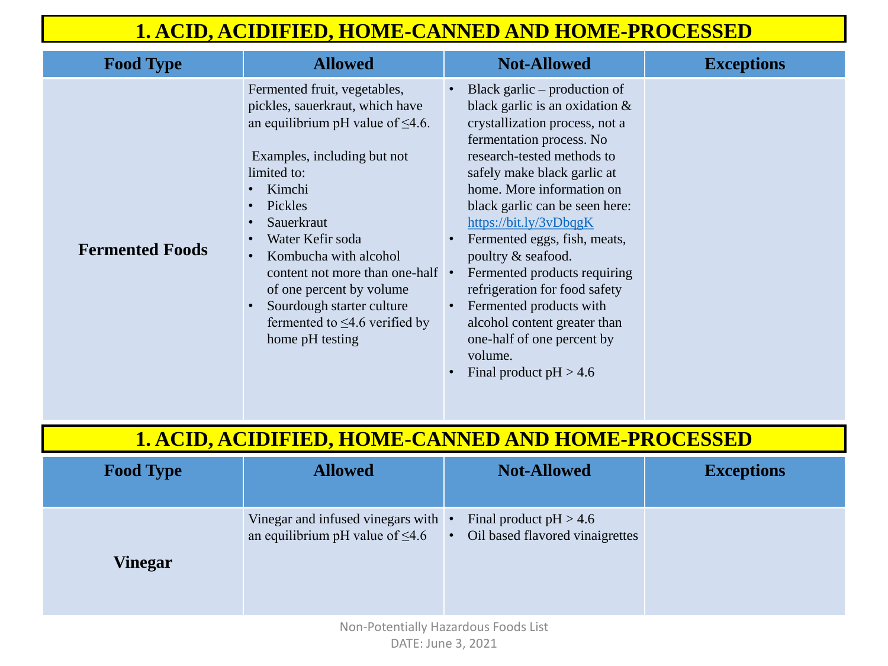

| <b>Food Type</b>       | <b>Allowed</b>                                                                                                                                                                                                                                                                                                                                                                                                                                                              | <b>Not-Allowed</b>                                                                                                                                                                                                                                                                                                                                                                                                                                                                                                                                                       |
|------------------------|-----------------------------------------------------------------------------------------------------------------------------------------------------------------------------------------------------------------------------------------------------------------------------------------------------------------------------------------------------------------------------------------------------------------------------------------------------------------------------|--------------------------------------------------------------------------------------------------------------------------------------------------------------------------------------------------------------------------------------------------------------------------------------------------------------------------------------------------------------------------------------------------------------------------------------------------------------------------------------------------------------------------------------------------------------------------|
| <b>Fermented Foods</b> | Fermented fruit, vegetables,<br>pickles, sauerkraut, which have<br>an equilibrium pH value of $\leq 4.6$ .<br>Examples, including but not<br>limited to:<br>Kimchi<br>$\bullet$<br>Pickles<br>$\bullet$<br>Sauerkraut<br>$\bullet$<br>Water Kefir soda<br>$\bullet$<br>Kombucha with alcohol<br>$\bullet$<br>content not more than one-half<br>of one percent by volume<br>Sourdough starter culture<br>$\bullet$<br>fermented to $\leq$ 4.6 verified by<br>home pH testing | Black garlic $-$ production of<br>black garlic is an oxidation $\&$<br>crystallization process, not a<br>fermentation process. No<br>research-tested methods to<br>safely make black garlic at<br>home. More information on<br>black garlic can be seen here:<br>https://bit.ly/3vDbqgK<br>Fermented eggs, fish, meats,<br>$\bullet$<br>poultry & seafood.<br>Fermented products requiring<br>refrigeration for food safety<br>Fermented products with<br>$\bullet$<br>alcohol content greater than<br>one-half of one percent by<br>volume.<br>Final product $pH > 4.6$ |

## **1. ACID, ACIDIFIED, HOME-CANNED AND HOME-PROCESSED**

| <b>Food Type</b> | <b>Allowed</b>                                                               | <b>Not-Allowed</b>                                            | <b>Exceptions</b> |
|------------------|------------------------------------------------------------------------------|---------------------------------------------------------------|-------------------|
| Vinegar          | Vinegar and infused vinegars with •<br>an equilibrium pH value of $\leq 4.6$ | Final product $pH > 4.6$<br>• Oil based flavored vinaigrettes |                   |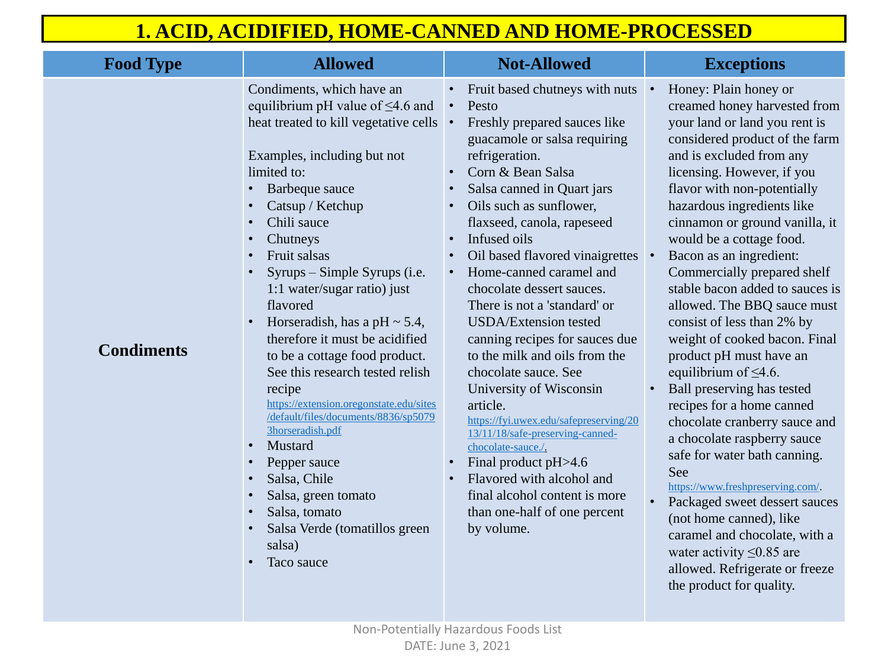| ıts                     | Honey: Plain honey or             |
|-------------------------|-----------------------------------|
|                         | creamed honey harvested from      |
|                         | your land or land you rent is     |
|                         | considered product of the farm    |
|                         | and is excluded from any          |
|                         | licensing. However, if you        |
|                         | flavor with non-potentially       |
|                         | hazardous ingredients like        |
|                         | cinnamon or ground vanilla, it    |
|                         | would be a cottage food.          |
| $\overline{\text{e}}$ s | Bacon as an ingredient:           |
|                         | Commercially prepared shelf       |
|                         | stable bacon added to sauces is   |
|                         | allowed. The BBQ sauce must       |
|                         | consist of less than 2% by        |
| ue                      | weight of cooked bacon. Final     |
|                         | product pH must have an           |
|                         | equilibrium of $\leq 4.6$ .       |
|                         | <b>Ball preserving has tested</b> |
|                         | recipes for a home canned         |
| 20                      | chocolate cranberry sauce and     |
|                         | a chocolate raspberry sauce       |
|                         | safe for water bath canning.      |
|                         | See                               |
|                         | https://www.freshpreserving.com/. |
|                         | Packaged sweet dessert sauces     |
|                         | (not home canned), like           |
|                         | caramel and chocolate, with a     |
|                         | water activity $\leq 0.85$ are    |
|                         | allowed. Refrigerate or freeze    |
|                         | the product for quality.          |
|                         |                                   |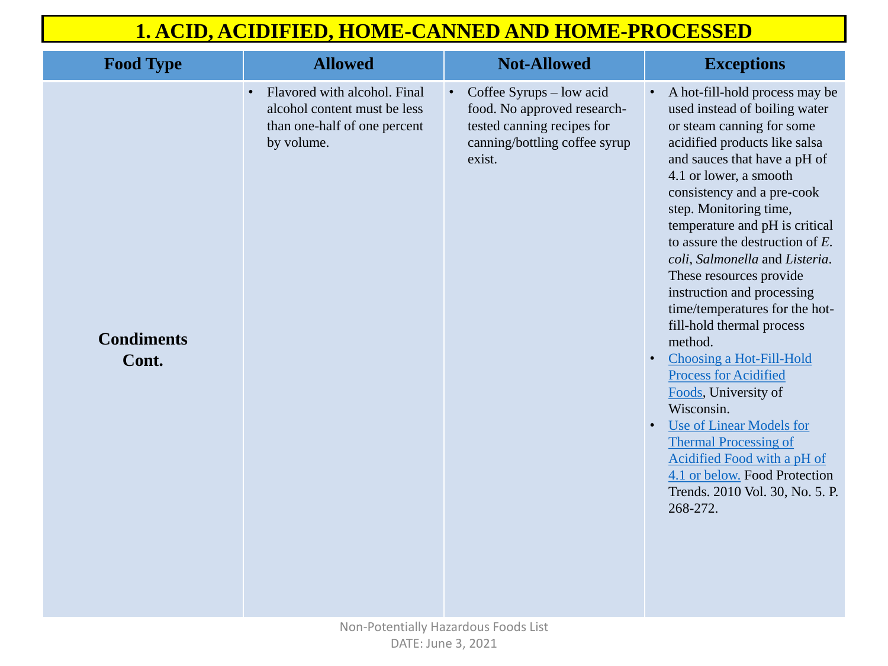| <b>Food Type</b>           | <b>Allowed</b>                                                                                                          | <b>Not-Allowed</b>                                                                                                                              |
|----------------------------|-------------------------------------------------------------------------------------------------------------------------|-------------------------------------------------------------------------------------------------------------------------------------------------|
| <b>Condiments</b><br>Cont. | Flavored with alcohol. Final<br>$\bullet$<br>alcohol content must be less<br>than one-half of one percent<br>by volume. | Coffee Syrups – low acid<br>$\bullet$ .<br>food. No approved research-<br>tested canning recipes for<br>canning/bottling coffee syrup<br>exist. |
|                            |                                                                                                                         |                                                                                                                                                 |

• A hot-fill-hold process may be used instead of boiling water or steam canning for some acidified products like salsa and sauces that have a pH of 4.1 or lower, a smooth consistency and a pre-cook step. Monitoring time, temperature and pH is critical to assure the destruction of *E. coli*, *Salmonella* and *Listeria*. These resources provide instruction and processing time/temperatures for the hotfill-hold thermal process method.

- [Choosing a Hot-Fill-Hold](https://foodsafety.wisc.edu/assets/Choosing a Hot.pdf) Process for Acidified Foods, University of Wisconsin.
- Use of Linear Models for Thermal Processing of [Acidified Food with a pH of](https://foodsafety.wisc.edu/business_food/files/Lethality_TimeTemp.pdf)  4.1 or below. Food Protection Trends. 2010 Vol. 30, No. 5. P. 268-272.

## **1. ACID, ACIDIFIED, HOME-CANNED AND HOME-PROCESSED**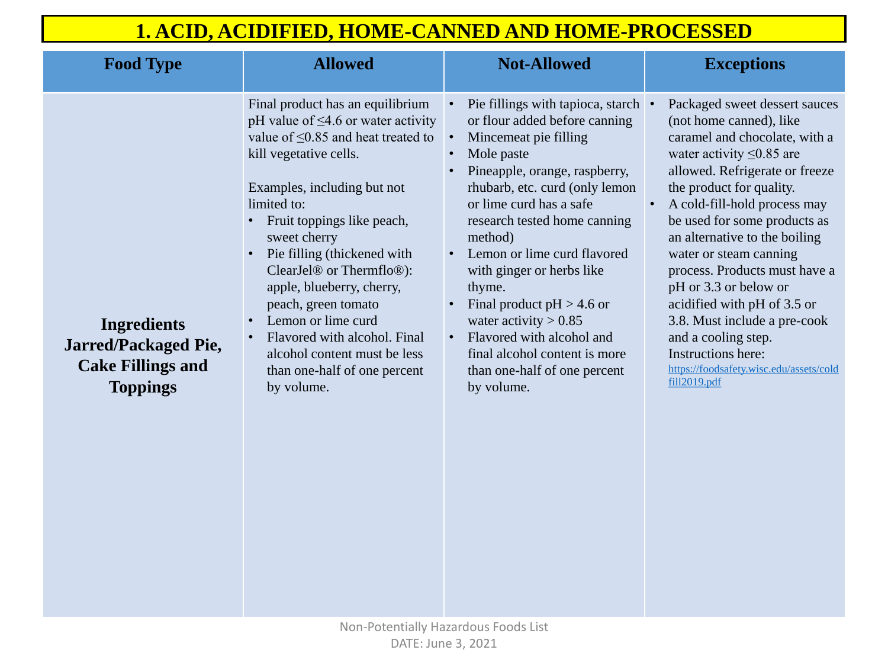| <b>Food Type</b>                                                                          | <b>Allowed</b>                                                                                                                                                                                                                                                                                                                                                                                                                                                                                                                                                    | <b>Not-Allowed</b>                                                                                                                                                                                                                                                                                                                                                                                                                                                                                          |
|-------------------------------------------------------------------------------------------|-------------------------------------------------------------------------------------------------------------------------------------------------------------------------------------------------------------------------------------------------------------------------------------------------------------------------------------------------------------------------------------------------------------------------------------------------------------------------------------------------------------------------------------------------------------------|-------------------------------------------------------------------------------------------------------------------------------------------------------------------------------------------------------------------------------------------------------------------------------------------------------------------------------------------------------------------------------------------------------------------------------------------------------------------------------------------------------------|
| Ingredients<br><b>Jarred/Packaged Pie,</b><br><b>Cake Fillings and</b><br><b>Toppings</b> | Final product has an equilibrium<br>pH value of $\leq$ 4.6 or water activity<br>value of $\leq$ 0.85 and heat treated to<br>kill vegetative cells.<br>Examples, including but not<br>limited to:<br>Fruit toppings like peach,<br>sweet cherry<br>Pie filling (thickened with<br>$\bullet$<br>ClearJel <sup>®</sup> or Thermflo <sup>®</sup> ):<br>apple, blueberry, cherry,<br>peach, green tomato<br>Lemon or lime curd<br>$\bullet$<br>Flavored with alcohol. Final<br>$\bullet$<br>alcohol content must be less<br>than one-half of one percent<br>by volume. | Pie fillings with tapioca, starch<br>or flour added before canning<br>Mincemeat pie filling<br>Mole paste<br>Pineapple, orange, raspberry,<br>rhubarb, etc. curd (only lemon<br>or lime curd has a safe<br>research tested home canning<br>method)<br>Lemon or lime curd flavored<br>with ginger or herbs like<br>thyme.<br>Final product $pH > 4.6$ or<br>water activity $> 0.85$<br>Flavored with alcohol and<br>$\bullet$<br>final alcohol content is more<br>than one-half of one percent<br>by volume. |

| :ch                  | Packaged sweet dessert sauces           |
|----------------------|-----------------------------------------|
| $\overline{g}$       | (not home canned), like                 |
|                      | caramel and chocolate, with a           |
|                      | water activity $\leq 0.85$ are          |
| 7,                   | allowed. Refrigerate or freeze          |
| $\overline{\rm{on}}$ | the product for quality.                |
|                      | A cold-fill-hold process may            |
| g                    | be used for some products as            |
|                      | an alternative to the boiling           |
| l                    | water or steam canning                  |
|                      | process. Products must have a           |
|                      | pH or 3.3 or below or                   |
|                      | acidified with pH of 3.5 or             |
|                      | 3.8. Must include a pre-cook            |
|                      | and a cooling step.                     |
|                      | Instructions here:                      |
|                      | https://foodsafety.wisc.edu/assets/cold |
|                      | fill2019.pdf                            |
|                      |                                         |

### $\bf{Exceptions}$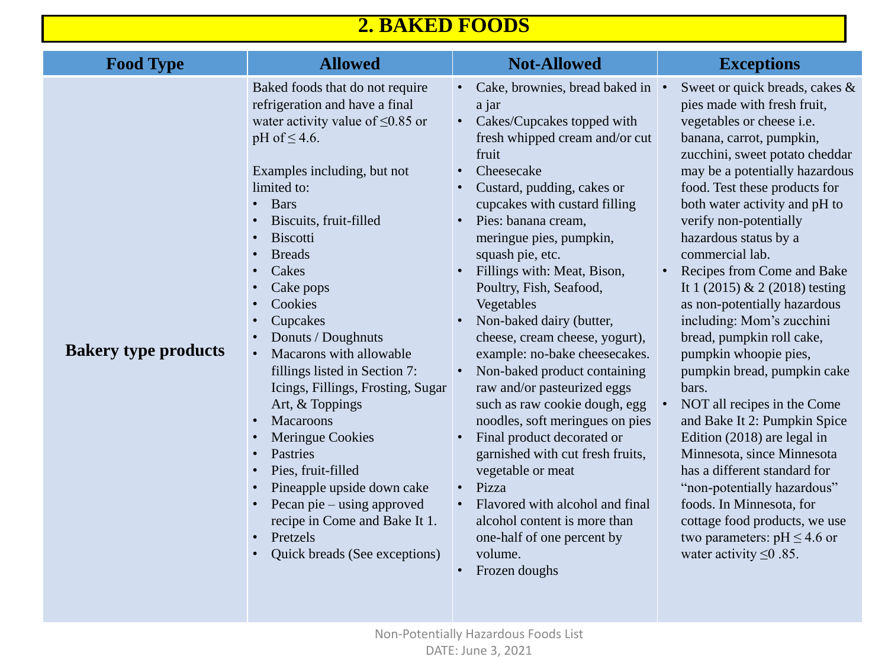| <b>Food Type</b>            | <b>Allowed</b>                                                                                                                                                                                                                                                                                                                                                                                                                                                                                                                                                                                                                                                                                                                                                                                                                                                                                               | <b>Not-Allowed</b>                                                                                                                                                                                                                                                                                                                                                                                                                                                                                                                                                                                                                                                                                                                                                                                                      | <b>Exceptions</b>                                                                                                                                                                                                                                                                                                                                                                                                                                                                                                                                                                                                                                                                                                                                              |
|-----------------------------|--------------------------------------------------------------------------------------------------------------------------------------------------------------------------------------------------------------------------------------------------------------------------------------------------------------------------------------------------------------------------------------------------------------------------------------------------------------------------------------------------------------------------------------------------------------------------------------------------------------------------------------------------------------------------------------------------------------------------------------------------------------------------------------------------------------------------------------------------------------------------------------------------------------|-------------------------------------------------------------------------------------------------------------------------------------------------------------------------------------------------------------------------------------------------------------------------------------------------------------------------------------------------------------------------------------------------------------------------------------------------------------------------------------------------------------------------------------------------------------------------------------------------------------------------------------------------------------------------------------------------------------------------------------------------------------------------------------------------------------------------|----------------------------------------------------------------------------------------------------------------------------------------------------------------------------------------------------------------------------------------------------------------------------------------------------------------------------------------------------------------------------------------------------------------------------------------------------------------------------------------------------------------------------------------------------------------------------------------------------------------------------------------------------------------------------------------------------------------------------------------------------------------|
| <b>Bakery type products</b> | Baked foods that do not require<br>refrigeration and have a final<br>water activity value of $\leq 0.85$ or<br>pH of $\leq 4.6$ .<br>Examples including, but not<br>limited to:<br><b>Bars</b><br>$\bullet$<br>Biscuits, fruit-filled<br>$\bullet$<br><b>Biscotti</b><br>$\bullet$<br><b>Breads</b><br>$\bullet$<br>Cakes<br>$\bullet$<br>Cake pops<br>$\bullet$<br>Cookies<br>$\bullet$<br>Cupcakes<br>$\bullet$<br>Donuts / Doughnuts<br>Macarons with allowable<br>fillings listed in Section 7:<br>Icings, Fillings, Frosting, Sugar<br>Art, & Toppings<br><b>Macaroons</b><br>$\bullet$<br><b>Meringue Cookies</b><br>$\bullet$<br><b>Pastries</b><br>$\bullet$<br>Pies, fruit-filled<br>$\bullet$<br>Pineapple upside down cake<br>$\bullet$<br>Pecan pie – using approved<br>$\bullet$<br>recipe in Come and Bake It 1.<br>Pretzels<br>$\bullet$<br><b>Quick breads (See exceptions)</b><br>$\bullet$ | Cake, brownies, bread baked in<br>a jar<br>Cakes/Cupcakes topped with<br>fresh whipped cream and/or cut<br>fruit<br>Cheesecake<br>Custard, pudding, cakes or<br>cupcakes with custard filling<br>Pies: banana cream,<br>meringue pies, pumpkin,<br>squash pie, etc.<br>Fillings with: Meat, Bison,<br>Poultry, Fish, Seafood,<br>Vegetables<br>Non-baked dairy (butter,<br>cheese, cream cheese, yogurt),<br>example: no-bake cheesecakes.<br>Non-baked product containing<br>raw and/or pasteurized eggs<br>such as raw cookie dough, egg<br>noodles, soft meringues on pies<br>Final product decorated or<br>garnished with cut fresh fruits,<br>vegetable or meat<br>Pizza<br>$\bullet$<br>Flavored with alcohol and final<br>alcohol content is more than<br>one-half of one percent by<br>volume.<br>Frozen doughs | Sweet or quick bread<br>$\bullet$<br>pies made with fresh<br>vegetables or cheese<br>banana, carrot, pumpl<br>zucchini, sweet potate<br>may be a potentially l<br>food. Test these produ<br>both water activity an<br>verify non-potentially<br>hazardous status by a<br>commercial lab.<br>Recipes from Come a<br>$\bullet$<br>It 1 (2015) & 2 (2018<br>as non-potentially har<br>including: Mom's zuo<br>bread, pumpkin roll c<br>pumpkin whoopie pie<br>pumpkin bread, pump<br>bars.<br>NOT all recipes in the<br>and Bake It 2: Pumpk<br>Edition $(2018)$ are leg<br>Minnesota, since Min<br>has a different standa<br>"non-potentially haza<br>foods. In Minnesota,<br>cottage food products<br>two parameters: $pH \leq$<br>water activity $\leq 0.85$ . |

## **2. BAKED FOODS**

|                           | <b>Exceptions</b>                  |
|---------------------------|------------------------------------|
| ed in                     | Sweet or quick breads, cakes &     |
|                           | pies made with fresh fruit,        |
| ith                       | vegetables or cheese i.e.          |
| or cut                    | banana, carrot, pumpkin,           |
|                           | zucchini, sweet potato cheddar     |
|                           | may be a potentially hazardous     |
|                           | food. Test these products for      |
| ng                        | both water activity and pH to      |
|                           | verify non-potentially             |
|                           | hazardous status by a              |
|                           | commercial lab.                    |
|                           | <b>Recipes from Come and Bake</b>  |
|                           | It 1 $(2015)$ & 2 $(2018)$ testing |
|                           | as non-potentially hazardous       |
|                           | including: Mom's zucchini          |
| urt),                     | bread, pumpkin roll cake,          |
| akes.                     | pumpkin whoopie pies,              |
| ing                       | pumpkin bread, pumpkin cake        |
| S,                        | bars.                              |
| egg                       | NOT all recipes in the Come        |
| pies                      | and Bake It 2: Pumpkin Spice       |
|                           | Edition (2018) are legal in        |
| uits,                     | Minnesota, since Minnesota         |
|                           | has a different standard for       |
|                           | "non-potentially hazardous"        |
| final                     | foods. In Minnesota, for           |
| $\overline{\mathfrak{m}}$ | cottage food products, we use      |
|                           | two parameters: $pH \leq 4.6$ or   |
|                           | water activity $\leq 0.85$ .       |
|                           |                                    |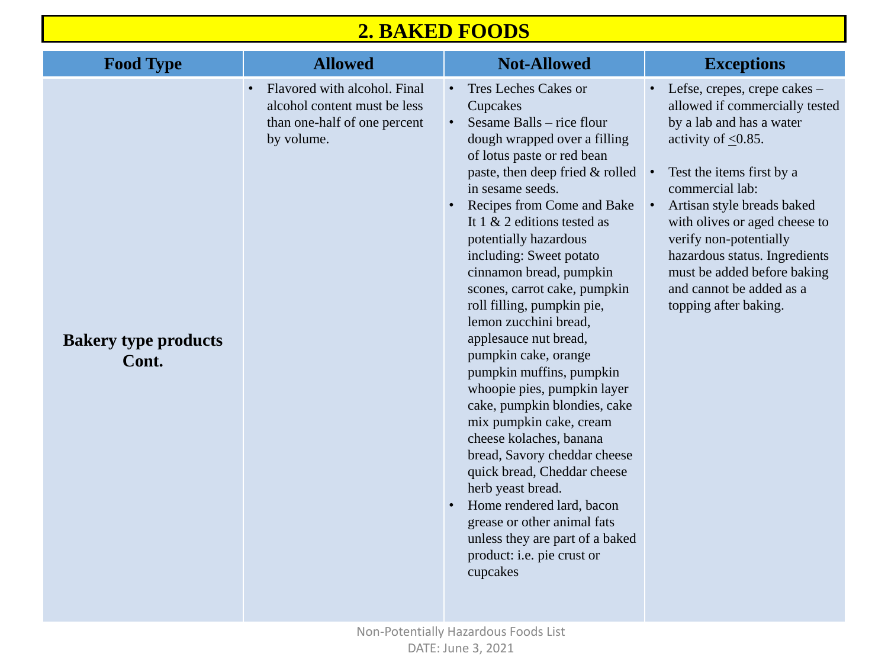| <b>Food Type</b>                     | <b>Allowed</b>                                                                                             | <b>Not-Allowed</b>                                                                                                                                                                                                                                                                                                                                                                                                                                                                                                                                                                                                                                                                                                                                                                                                                                                      |
|--------------------------------------|------------------------------------------------------------------------------------------------------------|-------------------------------------------------------------------------------------------------------------------------------------------------------------------------------------------------------------------------------------------------------------------------------------------------------------------------------------------------------------------------------------------------------------------------------------------------------------------------------------------------------------------------------------------------------------------------------------------------------------------------------------------------------------------------------------------------------------------------------------------------------------------------------------------------------------------------------------------------------------------------|
| <b>Bakery type products</b><br>Cont. | Flavored with alcohol. Final<br>alcohol content must be less<br>than one-half of one percent<br>by volume. | <b>Tres Leches Cakes or</b><br>Cupcakes<br>Sesame Balls – rice flour<br>dough wrapped over a filling<br>of lotus paste or red bean<br>paste, then deep fried $&$ rolled<br>in sesame seeds.<br><b>Recipes from Come and Bake</b><br>It 1 $\&$ 2 editions tested as<br>potentially hazardous<br>including: Sweet potato<br>cinnamon bread, pumpkin<br>scones, carrot cake, pumpkin<br>roll filling, pumpkin pie,<br>lemon zucchini bread,<br>applesauce nut bread,<br>pumpkin cake, orange<br>pumpkin muffins, pumpkin<br>whoopie pies, pumpkin layer<br>cake, pumpkin blondies, cake<br>mix pumpkin cake, cream<br>cheese kolaches, banana<br>bread, Savory cheddar cheese<br>quick bread, Cheddar cheese<br>herb yeast bread.<br>Home rendered lard, bacon<br>grease or other animal fats<br>unless they are part of a baked<br>product: i.e. pie crust or<br>cupcakes |

# $$ • Lefse, crepes, crepe cakes – allowed if commercially tested by a lab and has a water activity of  $\leq 0.85$ . ed • Test the items first by a commercial lab: • Artisan style breads baked with olives or aged cheese to verify non-potentially hazardous status. Ingredients must be added before baking and cannot be added as a topping after baking.

## **2. BAKED FOODS**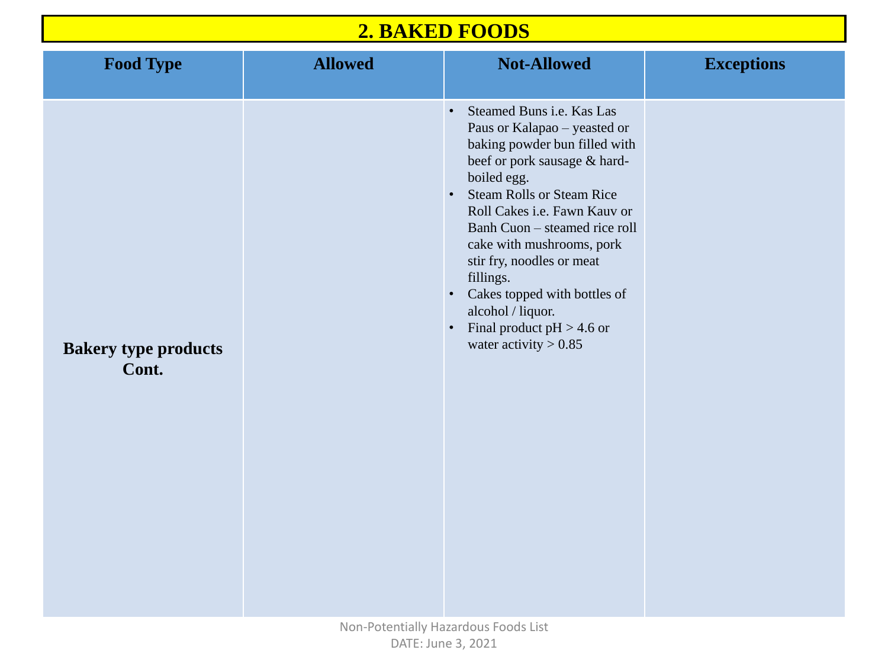| <b>Food Type</b>                     | <b>Allowed</b> | <b>Not-Allowed</b>                                                                                                                                                                                                                                                                                                                                                                                                                                                                                | <b>Exceptions</b> |
|--------------------------------------|----------------|---------------------------------------------------------------------------------------------------------------------------------------------------------------------------------------------------------------------------------------------------------------------------------------------------------------------------------------------------------------------------------------------------------------------------------------------------------------------------------------------------|-------------------|
| <b>Bakery type products</b><br>Cont. |                | <b>Steamed Buns i.e. Kas Las</b><br>$\bullet$<br>Paus or Kalapao - yeasted or<br>baking powder bun filled with<br>beef or pork sausage & hard-<br>boiled egg.<br><b>Steam Rolls or Steam Rice</b><br>$\bullet$ .<br>Roll Cakes i.e. Fawn Kauv or<br>Banh Cuon – steamed rice roll<br>cake with mushrooms, pork<br>stir fry, noodles or meat<br>fillings.<br>Cakes topped with bottles of<br>$\bullet$<br>alcohol / liquor.<br>Final product $pH > 4.6$ or<br>$\bullet$<br>water activity $> 0.85$ |                   |

## **2. BAKED FOODS**

|                                         | <b>Exceptions</b> |
|-----------------------------------------|-------------------|
| $\mathbf{r}$<br>ith<br>$\overline{ \ }$ |                   |
| $\overline{\text{or}}$<br>oll           |                   |
| $\mathbf f$                             |                   |
|                                         |                   |
|                                         |                   |
|                                         |                   |
|                                         |                   |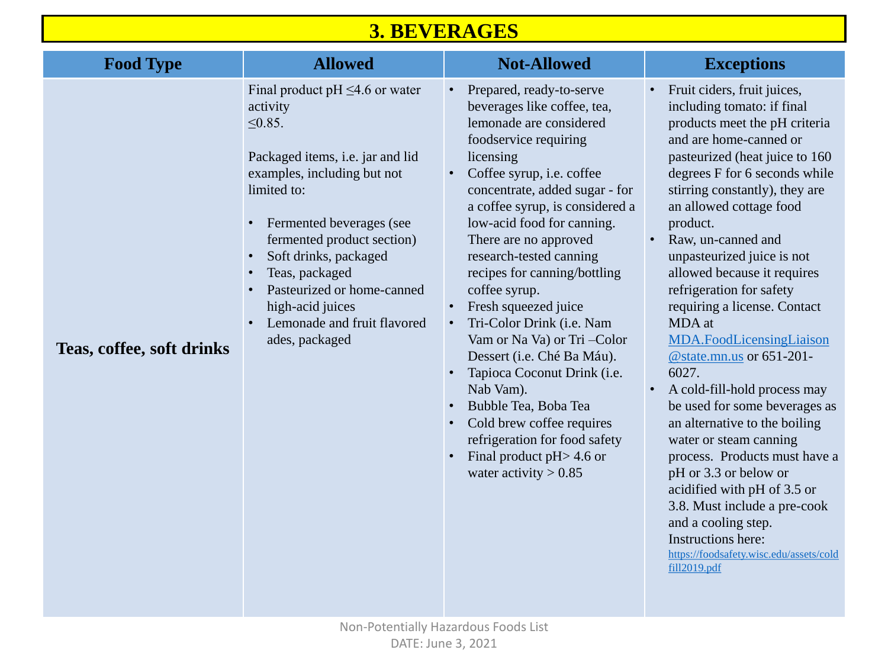| <b>Food Type</b>          | <b>Allowed</b>                                                                                                                                                                                                                                                                                                                                              | <b>Not-Allowed</b>                                                                                                                                                                                                                                                                                                                                                                                                                                                                                                                                                                                                                                                                                                  |  |
|---------------------------|-------------------------------------------------------------------------------------------------------------------------------------------------------------------------------------------------------------------------------------------------------------------------------------------------------------------------------------------------------------|---------------------------------------------------------------------------------------------------------------------------------------------------------------------------------------------------------------------------------------------------------------------------------------------------------------------------------------------------------------------------------------------------------------------------------------------------------------------------------------------------------------------------------------------------------------------------------------------------------------------------------------------------------------------------------------------------------------------|--|
| Teas, coffee, soft drinks | Final product pH $\leq$ 4.6 or water<br>activity<br>$\leq 0.85$ .<br>Packaged items, i.e. jar and lid<br>examples, including but not<br>limited to:<br>Fermented beverages (see<br>fermented product section)<br>Soft drinks, packaged<br>Teas, packaged<br>Pasteurized or home-canned<br>high-acid juices<br>Lemonade and fruit flavored<br>ades, packaged | Prepared, ready-to-serve<br>$\bullet$<br>beverages like coffee, tea,<br>lemonade are considered<br>foodservice requiring<br>licensing<br>Coffee syrup, i.e. coffee<br>$\bullet$<br>concentrate, added sugar - for<br>a coffee syrup, is considered a<br>low-acid food for canning.<br>There are no approved<br>research-tested canning<br>recipes for canning/bottling<br>coffee syrup.<br>Fresh squeezed juice<br>Tri-Color Drink (i.e. Nam<br>$\bullet$<br>Vam or Na Va) or Tri - Color<br>Dessert (i.e. Ché Ba Máu).<br>Tapioca Coconut Drink (i.e.<br>Nab Vam).<br>Bubble Tea, Boba Tea<br>Cold brew coffee requires<br>refrigeration for food safety<br>Final product $pH > 4.6$ or<br>water activity $> 0.85$ |  |

- Fruit ciders, fruit juices, including tomato: if final products meet the pH criteria and are home-canned or pasteurized (heat juice to 160 degrees F for 6 seconds while stirring constantly), they are an allowed cottage food product.
- Raw, un-canned and unpasteurized juice is not allowed because it requires refrigeration for safety requiring a license. Contact MDA at
- [MDA.FoodLicensingLiaison](mailto:MDA.FoodLicensingLiaison@state.mn.us) @state.mn.us or 651-201- 6027.
- A cold-fill-hold process may be used for some beverages as an alternative to the boiling water or steam canning process. Products must have a pH or 3.3 or below or acidified with pH of 3.5 or 3.8. Must include a pre-cook and a cooling step. Instructions here: [https://foodsafety.wisc.edu/assets/cold](https://foodsafety.wisc.edu/assets/coldfill2019.pdf) fill2019.pdf

## **3. BEVERAGES**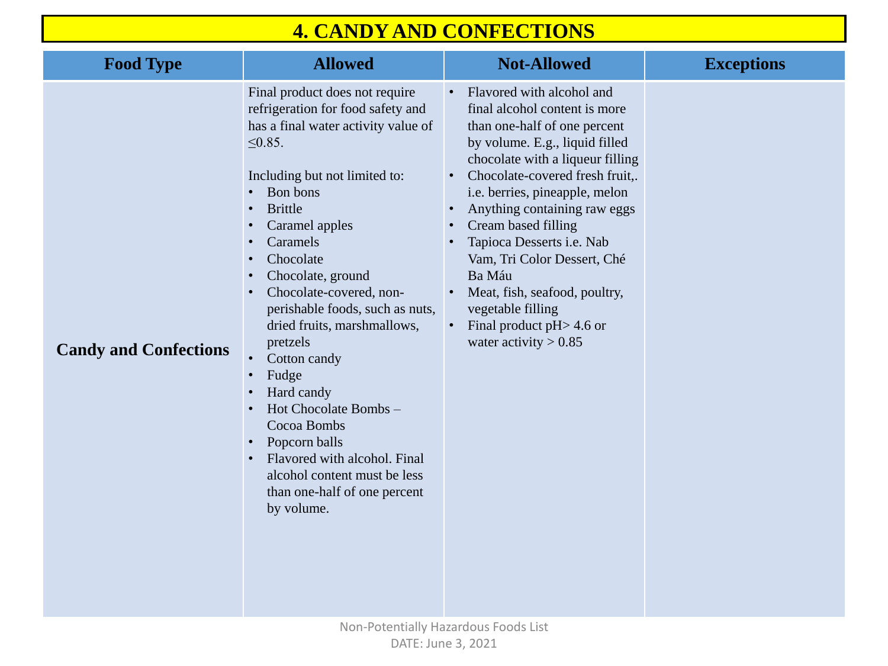| <b>Food Type</b>             | <b>Allowed</b>                                                                                                                                                                                                                                                                                                                                                                                                                                                                                                                                                                                                                                                                                   | <b>Not-Allowed</b>                                                                                                                                                                                                                                                                                                                                                                                                                                                                                                                                                                  |
|------------------------------|--------------------------------------------------------------------------------------------------------------------------------------------------------------------------------------------------------------------------------------------------------------------------------------------------------------------------------------------------------------------------------------------------------------------------------------------------------------------------------------------------------------------------------------------------------------------------------------------------------------------------------------------------------------------------------------------------|-------------------------------------------------------------------------------------------------------------------------------------------------------------------------------------------------------------------------------------------------------------------------------------------------------------------------------------------------------------------------------------------------------------------------------------------------------------------------------------------------------------------------------------------------------------------------------------|
| <b>Candy and Confections</b> | Final product does not require<br>refrigeration for food safety and<br>has a final water activity value of<br>$\leq 0.85$ .<br>Including but not limited to:<br>Bon bons<br><b>Brittle</b><br>$\bullet$<br>Caramel apples<br><b>Caramels</b><br>Chocolate<br>Chocolate, ground<br>$\bullet$<br>Chocolate-covered, non-<br>$\bullet$<br>perishable foods, such as nuts,<br>dried fruits, marshmallows,<br>pretzels<br>Cotton candy<br>$\bullet$<br>Fudge<br>$\bullet$<br>Hard candy<br>$\bullet$<br>Hot Chocolate Bombs –<br>$\bullet$<br>Cocoa Bombs<br>Popcorn balls<br>Flavored with alcohol. Final<br>$\bullet$<br>alcohol content must be less<br>than one-half of one percent<br>by volume. | Flavored with alcohol and<br>$\bullet$<br>final alcohol content is more<br>than one-half of one percent<br>by volume. E.g., liquid filled<br>chocolate with a liqueur filling<br>Chocolate-covered fresh fruit,<br>$\bullet$<br>i.e. berries, pineapple, melon<br>Anything containing raw eggs<br>$\bullet$<br><b>Cream based filling</b><br>$\bullet$<br>Tapioca Desserts i.e. Nab<br>$\bullet$<br>Vam, Tri Color Dessert, Ché<br>Ba Máu<br>Meat, fish, seafood, poultry,<br>$\bullet$<br>vegetable filling<br>Final product $pH > 4.6$ or<br>$\bullet$<br>water activity $> 0.85$ |

## **4. CANDY AND CONFECTIONS**

# $\bf{Exceptions}$ ling iit,.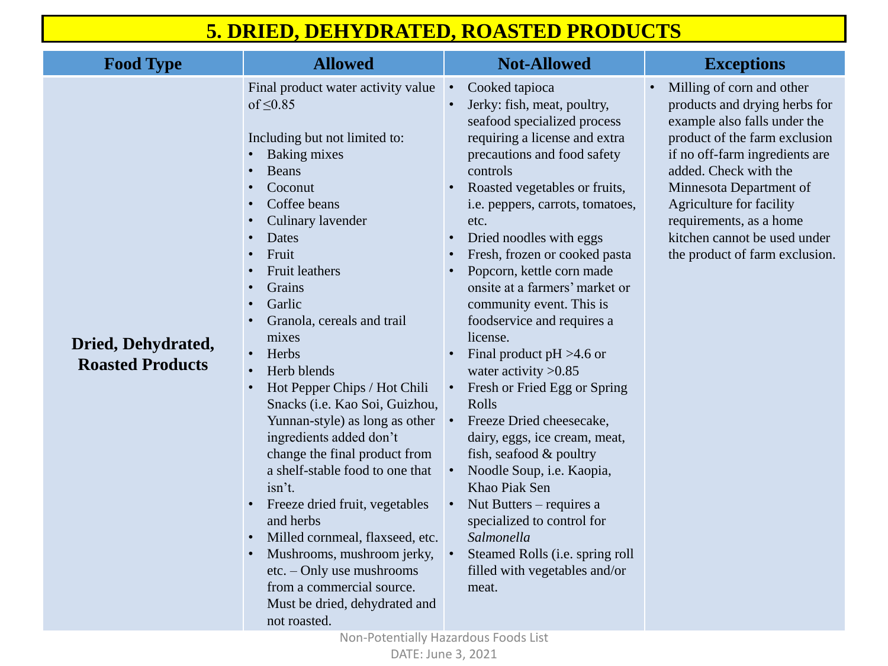| <b>Food Type</b>                              | <b>Allowed</b>                                                                                                                                                                                                                                                                                                                                                                                                                                                                                                                                                                                                                                                                                                                                                                                                                                                                                                                                                                            | <b>Not-Allowed</b>                                                                                                                                                                                                                                                                                                                                                                                                                                                                                                                                                                                                                                                                                                                                                                                                                             |
|-----------------------------------------------|-------------------------------------------------------------------------------------------------------------------------------------------------------------------------------------------------------------------------------------------------------------------------------------------------------------------------------------------------------------------------------------------------------------------------------------------------------------------------------------------------------------------------------------------------------------------------------------------------------------------------------------------------------------------------------------------------------------------------------------------------------------------------------------------------------------------------------------------------------------------------------------------------------------------------------------------------------------------------------------------|------------------------------------------------------------------------------------------------------------------------------------------------------------------------------------------------------------------------------------------------------------------------------------------------------------------------------------------------------------------------------------------------------------------------------------------------------------------------------------------------------------------------------------------------------------------------------------------------------------------------------------------------------------------------------------------------------------------------------------------------------------------------------------------------------------------------------------------------|
| Dried, Dehydrated,<br><b>Roasted Products</b> | Final product water activity value<br>of $\leq 0.85$<br>Including but not limited to:<br><b>Baking mixes</b><br>$\bullet$<br>Beans<br>$\bullet$<br>Coconut<br>$\bullet$<br>Coffee beans<br>$\bullet$<br><b>Culinary lavender</b><br>$\bullet$<br>Dates<br>$\bullet$<br>Fruit<br>$\bullet$<br><b>Fruit leathers</b><br>$\bullet$<br>Grains<br>$\bullet$<br>Garlic<br>$\bullet$<br>Granola, cereals and trail<br>$\bullet$<br>mixes<br>Herbs<br>$\bullet$<br>Herb blends<br>$\bullet$<br>Hot Pepper Chips / Hot Chili<br>$\bullet$<br>Snacks ( <i>i.e.</i> Kao Soi, Guizhou,<br>Yunnan-style) as long as other<br>ingredients added don't<br>change the final product from<br>a shelf-stable food to one that<br>isn't.<br>Freeze dried fruit, vegetables<br>$\bullet$<br>and herbs<br>Milled cornmeal, flaxseed, etc.<br>$\bullet$<br>Mushrooms, mushroom jerky,<br>$\bullet$<br>$etc. - Only use$ mushrooms<br>from a commercial source.<br>Must be dried, dehydrated and<br>not roasted. | Cooked tapioca<br>Jerky: fish, meat, poultry,<br>seafood specialized process<br>requiring a license and extra<br>precautions and food safety<br>controls<br>Roasted vegetables or fruits,<br>i.e. peppers, carrots, tomatoes,<br>etc.<br>Dried noodles with eggs<br>Fresh, frozen or cooked pasta<br>Popcorn, kettle corn made<br>onsite at a farmers' market or<br>community event. This is<br>foodservice and requires a<br>license.<br>Final product $pH > 4.6$ or<br>water activity $>0.85$<br>Fresh or Fried Egg or Spring<br>Rolls<br>Freeze Dried cheesecake,<br>dairy, eggs, ice cream, meat,<br>fish, seafood $\&$ poultry<br>Noodle Soup, i.e. Kaopia,<br>Khao Piak Sen<br>Nut Butters – requires a<br>specialized to control for<br>Salmonella<br>Steamed Rolls ( <i>i.e.</i> spring roll<br>filled with vegetables and/or<br>meat. |

• Milling of corn and other products and drying herbs for example also falls under the product of the farm exclusion if no off-farm ingredients are added. Check with the Minnesota Department of Agriculture for facility requirements, as a home kitchen cannot be used under the product of farm exclusion.

## **5. DRIED, DEHYDRATED, ROASTED PRODUCTS**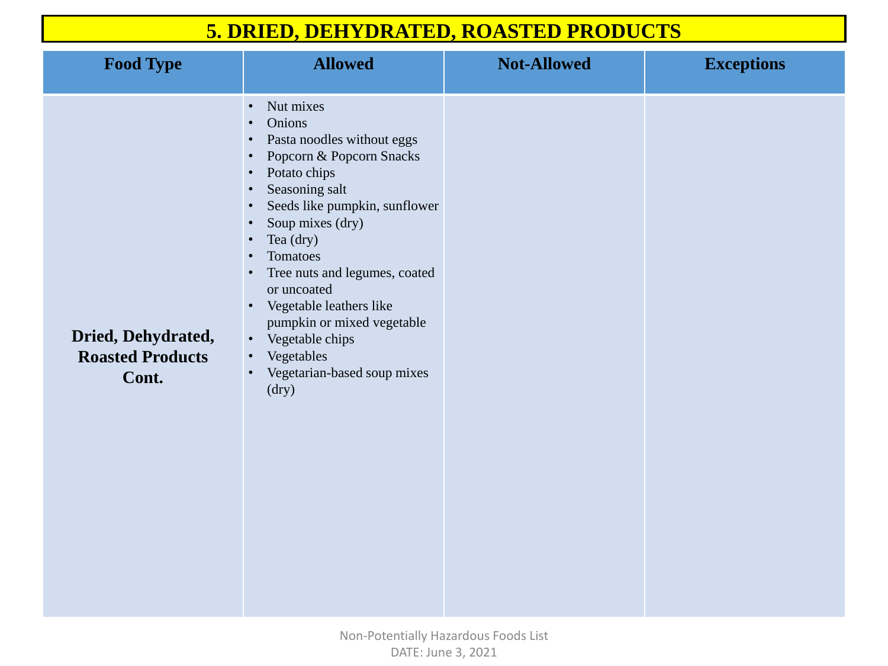| <b>Food Type</b>                                       | <b>Allowed</b>                                                                                                                                                                                                                                                                                                                                                                                                                                                                                                                                                                                      | <b>Not-Allowed</b> |
|--------------------------------------------------------|-----------------------------------------------------------------------------------------------------------------------------------------------------------------------------------------------------------------------------------------------------------------------------------------------------------------------------------------------------------------------------------------------------------------------------------------------------------------------------------------------------------------------------------------------------------------------------------------------------|--------------------|
| Dried, Dehydrated,<br><b>Roasted Products</b><br>Cont. | Nut mixes<br>$\bullet$<br><b>Onions</b><br>$\bullet$<br>Pasta noodles without eggs<br>$\bullet$<br>Popcorn & Popcorn Snacks<br>$\bullet$<br>Potato chips<br>$\bullet$<br>Seasoning salt<br>$\bullet$<br>Seeds like pumpkin, sunflower<br>$\bullet$<br>Soup mixes (dry)<br>$\bullet$<br>Tea (dry)<br>$\bullet$<br>Tomatoes<br>$\bullet$<br>Tree nuts and legumes, coated<br>$\bullet$<br>or uncoated<br>Vegetable leathers like<br>$\bullet$<br>pumpkin or mixed vegetable<br>Vegetable chips<br>$\bullet$<br>Vegetables<br>$\bullet$<br>Vegetarian-based soup mixes<br>$\bullet$<br>$\frac{dy}{dx}$ |                    |

## **5. DRIED, DEHYDRATED, ROASTED PRODUCTS**



## $\bf{Exceptions}$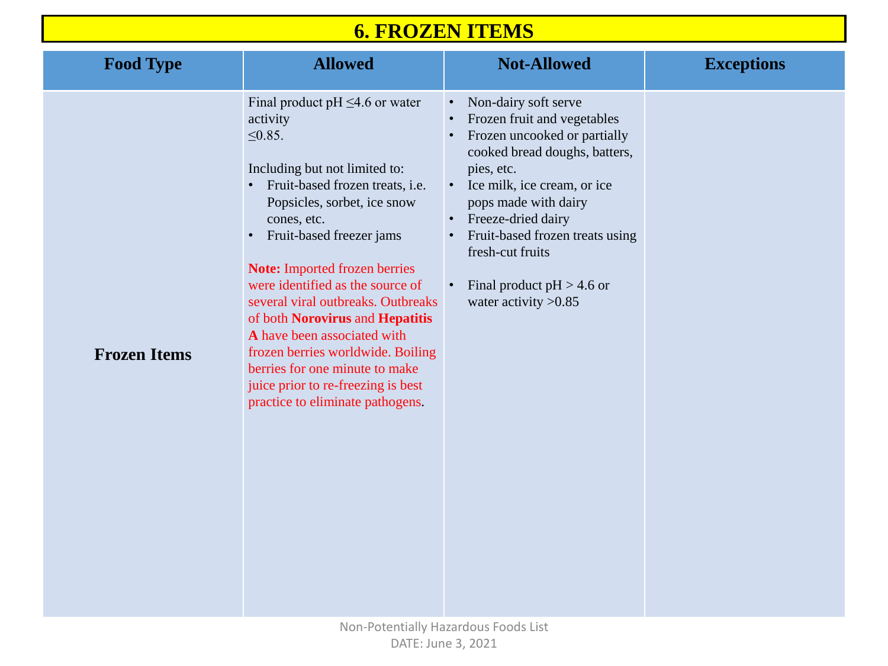

| <b>Food Type</b>    | <b>Allowed</b>                                                                                                                                                                                                                                                                                                                                                                                                                                                                                                                                                                        | <b>Not-Allowed</b>                                                                                                                                                                                                                                                                                                              |
|---------------------|---------------------------------------------------------------------------------------------------------------------------------------------------------------------------------------------------------------------------------------------------------------------------------------------------------------------------------------------------------------------------------------------------------------------------------------------------------------------------------------------------------------------------------------------------------------------------------------|---------------------------------------------------------------------------------------------------------------------------------------------------------------------------------------------------------------------------------------------------------------------------------------------------------------------------------|
| <b>Frozen Items</b> | Final product pH $\leq$ 4.6 or water<br>activity<br>$\leq 0.85$ .<br>Including but not limited to:<br>Fruit-based frozen treats, <i>i.e.</i><br>$\bullet$<br>Popsicles, sorbet, ice snow<br>cones, etc.<br>Fruit-based freezer jams<br>$\bullet$<br><b>Note:</b> Imported frozen berries<br>were identified as the source of<br>several viral outbreaks. Outbreaks<br>of both Norovirus and Hepatitis<br>A have been associated with<br>frozen berries worldwide. Boiling<br>berries for one minute to make<br>juice prior to re-freezing is best<br>practice to eliminate pathogens. | Non-dairy soft serve<br>Frozen fruit and vegetables<br>Frozen uncooked or partially<br>cooked bread doughs, batters,<br>pies, etc.<br>Ice milk, ice cream, or ice<br>pops made with dairy<br>Freeze-dried dairy<br>Fruit-based frozen treats using<br>fresh-cut fruits<br>Final product $pH > 4.6$ or<br>water activity $>0.85$ |

## **6. FROZEN ITEMS**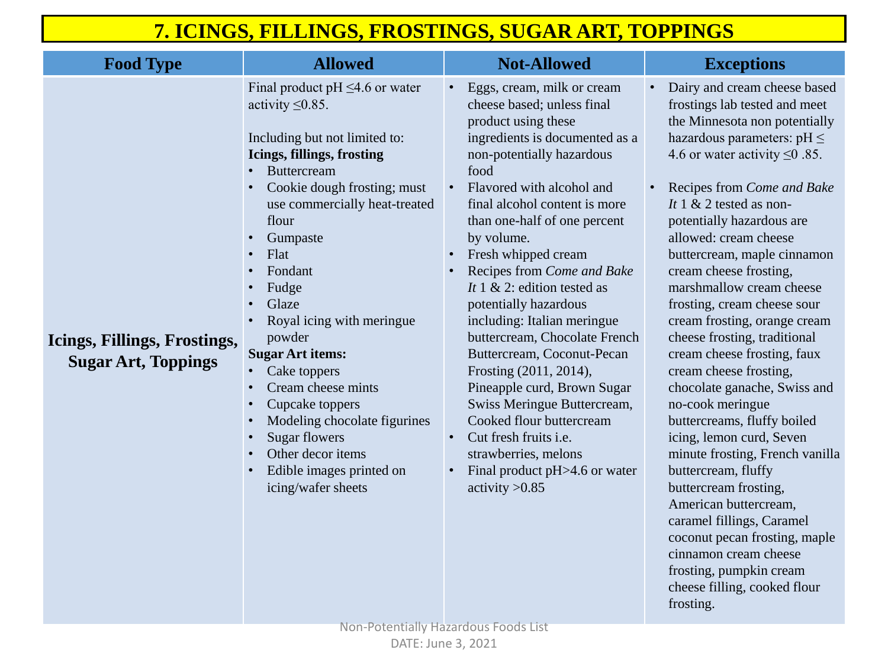| <b>Food Type</b>                                           | <b>Allowed</b>                                                                                                                                                                                                                                                                                                                                                                                                                                                                                                                                                                                                                                                                                                                | <b>Not-Allowed</b>                                                                                                                                                                                                                                                                                                                                                                                                                                                                                                                                                                                                                                                                                                                                                                                                                   |
|------------------------------------------------------------|-------------------------------------------------------------------------------------------------------------------------------------------------------------------------------------------------------------------------------------------------------------------------------------------------------------------------------------------------------------------------------------------------------------------------------------------------------------------------------------------------------------------------------------------------------------------------------------------------------------------------------------------------------------------------------------------------------------------------------|--------------------------------------------------------------------------------------------------------------------------------------------------------------------------------------------------------------------------------------------------------------------------------------------------------------------------------------------------------------------------------------------------------------------------------------------------------------------------------------------------------------------------------------------------------------------------------------------------------------------------------------------------------------------------------------------------------------------------------------------------------------------------------------------------------------------------------------|
| Icings, Fillings, Frostings,<br><b>Sugar Art, Toppings</b> | Final product pH $\leq$ 4.6 or water<br>activity $\leq 0.85$ .<br>Including but not limited to:<br>Icings, fillings, frosting<br><b>Buttercream</b><br>$\bullet$<br>Cookie dough frosting; must<br>$\bullet$<br>use commercially heat-treated<br>flour<br>Gumpaste<br>Flat<br>$\bullet$<br>Fondant<br>$\bullet$<br>Fudge<br>$\bullet$<br>Glaze<br>$\bullet$<br>Royal icing with meringue<br>$\bullet$<br>powder<br><b>Sugar Art items:</b><br>Cake toppers<br>$\bullet$<br>Cream cheese mints<br>$\bullet$<br>Cupcake toppers<br>$\bullet$<br>Modeling chocolate figurines<br>$\bullet$<br><b>Sugar flowers</b><br>$\bullet$<br>Other decor items<br>$\bullet$<br>Edible images printed on<br>$\bullet$<br>icing/wafer sheets | Eggs, cream, milk or cream<br>$\bullet$<br>cheese based; unless final<br>product using these<br>ingredients is documented as a<br>non-potentially hazardous<br>food<br>Flavored with alcohol and<br>$\bullet$<br>final alcohol content is more<br>than one-half of one percent<br>by volume.<br>Fresh whipped cream<br>$\bullet$<br>Recipes from Come and Bake<br>$\bullet$<br>It 1 & 2: edition tested as<br>potentially hazardous<br>including: Italian meringue<br>buttercream, Chocolate French<br>Buttercream, Coconut-Pecan<br>Frosting (2011, 2014),<br>Pineapple curd, Brown Sugar<br>Swiss Meringue Buttercream,<br>Cooked flour buttercream<br>Cut fresh fruits <i>i.e.</i><br>$\bullet$<br>strawberries, melons<br>Final product pH>4.6 or water<br>$\bullet$<br>activity $>0.85$<br>Non-Potentially Hazardous Foods List |

|                 | Dairy and cream cheese based        |
|-----------------|-------------------------------------|
|                 | frostings lab tested and meet       |
|                 | the Minnesota non potentially       |
| s a             | hazardous parameters: $pH \leq$     |
|                 | 4.6 or water activity $\leq 0.85$ . |
|                 |                                     |
|                 | Recipes from Come and Bake          |
|                 | It 1 & 2 tested as non-             |
|                 | potentially hazardous are           |
|                 | allowed: cream cheese               |
|                 | buttercream, maple cinnamon         |
| $\zeta \varrho$ | cream cheese frosting,              |
|                 | marshmallow cream cheese            |
|                 | frosting, cream cheese sour         |
|                 | cream frosting, orange cream        |
| ıch             | cheese frosting, traditional        |
| $\mathbf 1$     | cream cheese frosting, faux         |
|                 | cream cheese frosting,              |
| ır              | chocolate ganache, Swiss and        |
| Π,              | no-cook meringue                    |
|                 | buttercreams, fluffy boiled         |
|                 | icing, lemon curd, Seven            |
|                 | minute frosting, French vanilla     |
| ter             | buttercream, fluffy                 |
|                 | buttercream frosting,               |
|                 | American buttercream,               |
|                 | caramel fillings, Caramel           |
|                 | coconut pecan frosting, maple       |
|                 | cinnamon cream cheese               |
|                 | frosting, pumpkin cream             |
|                 | cheese filling, cooked flour        |
|                 | frosting.                           |

## **7. ICINGS, FILLINGS, FROSTINGS, SUGAR ART, TOPPINGS**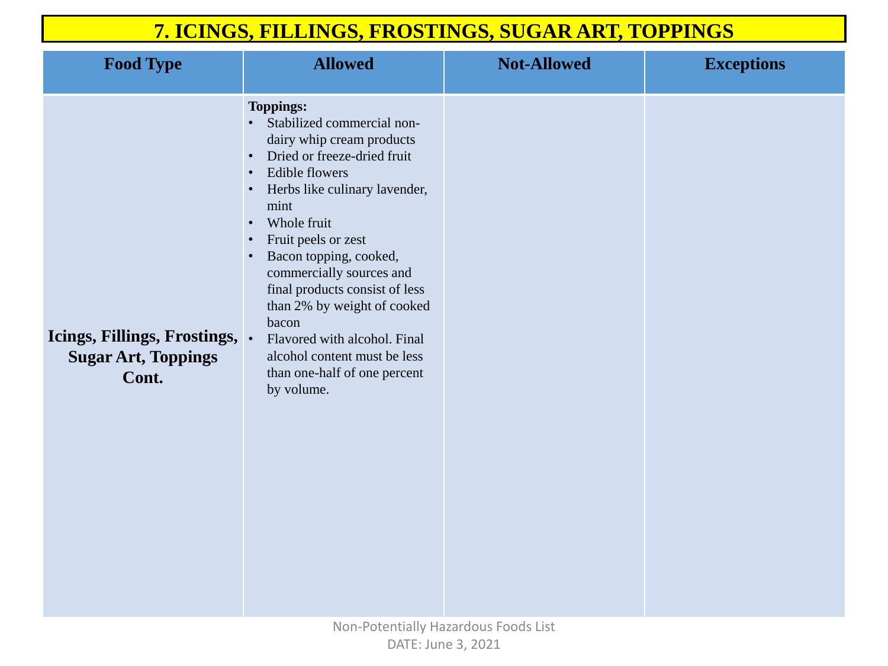| <b>Food Type</b>                                                    | <b>Allowed</b>                                                                                                                                                                                                                                                                                                                                                                                                                                                                             | <b>Not-Allowed</b> |
|---------------------------------------------------------------------|--------------------------------------------------------------------------------------------------------------------------------------------------------------------------------------------------------------------------------------------------------------------------------------------------------------------------------------------------------------------------------------------------------------------------------------------------------------------------------------------|--------------------|
| Icings, Fillings, Frostings,<br><b>Sugar Art, Toppings</b><br>Cont. | <b>Toppings:</b><br>Stabilized commercial non-<br>dairy whip cream products<br>Dried or freeze-dried fruit<br>$\bullet$<br><b>Edible flowers</b><br>$\bullet$<br>Herbs like culinary lavender,<br>mint<br>Whole fruit<br>Fruit peels or zest<br>Bacon topping, cooked,<br>commercially sources and<br>final products consist of less<br>than 2% by weight of cooked<br>bacon<br>Flavored with alcohol. Final<br>alcohol content must be less<br>than one-half of one percent<br>by volume. |                    |

## **7. ICINGS, FILLINGS, FROSTINGS, SUGAR ART, TOPPINGS**

### $\bf{Exceptions}$

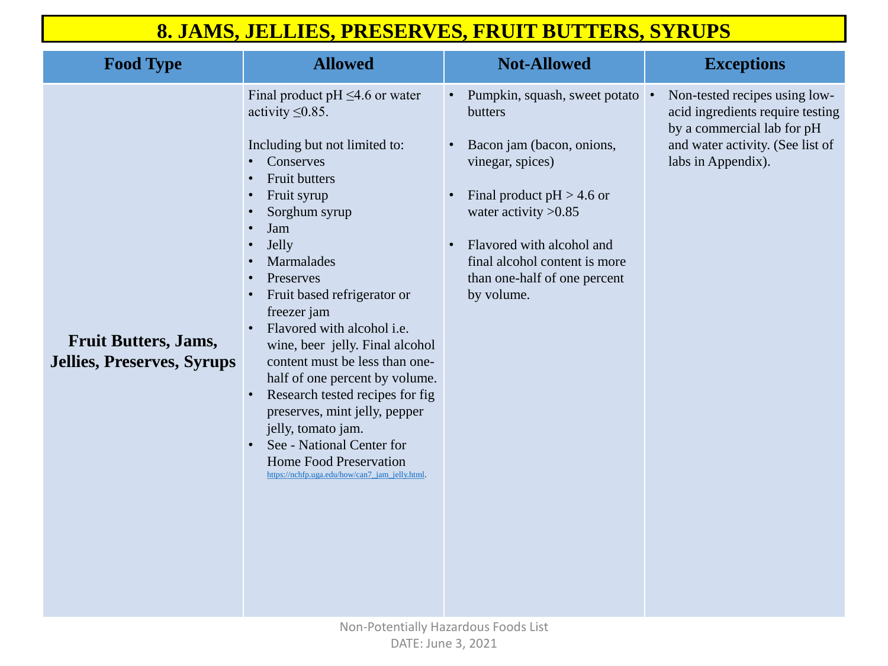| <b>Food Type</b>                                                 | <b>Allowed</b>                                                                                                                                                                                                                                                                                                                                                                                                                                                                                                                                                                                                                                                                                                                                                                                       | <b>Not-Allowed</b>                                                                                                                                                                                                                                             | <b>Exceptions</b>                                                                                                                                         |
|------------------------------------------------------------------|------------------------------------------------------------------------------------------------------------------------------------------------------------------------------------------------------------------------------------------------------------------------------------------------------------------------------------------------------------------------------------------------------------------------------------------------------------------------------------------------------------------------------------------------------------------------------------------------------------------------------------------------------------------------------------------------------------------------------------------------------------------------------------------------------|----------------------------------------------------------------------------------------------------------------------------------------------------------------------------------------------------------------------------------------------------------------|-----------------------------------------------------------------------------------------------------------------------------------------------------------|
| <b>Fruit Butters, Jams,</b><br><b>Jellies, Preserves, Syrups</b> | Final product pH $\leq$ 4.6 or water<br>activity $\leq 0.85$ .<br>Including but not limited to:<br><b>Conserves</b><br>$\bullet$<br><b>Fruit butters</b><br>$\bullet$<br>Fruit syrup<br>$\bullet$<br>Sorghum syrup<br>$\bullet$<br>Jam<br>$\bullet$<br><b>Jelly</b><br>$\bullet$<br><b>Marmalades</b><br>$\bullet$<br>Preserves<br>$\bullet$<br>Fruit based refrigerator or<br>$\bullet$<br>freezer jam<br>Flavored with alcohol <i>i.e.</i><br>$\bullet$<br>wine, beer jelly. Final alcohol<br>content must be less than one-<br>half of one percent by volume.<br>Research tested recipes for fig.<br>$\bullet$<br>preserves, mint jelly, pepper<br>jelly, tomato jam.<br>See - National Center for<br>$\bullet$<br><b>Home Food Preservation</b><br>https://nchfp.uga.edu/how/can7_jam_jelly.html | Pumpkin, squash, sweet potato<br>butters<br>Bacon jam (bacon, onions,<br>vinegar, spices)<br>Final product $pH > 4.6$ or<br>water activity $>0.85$<br>Flavored with alcohol and<br>final alcohol content is more<br>than one-half of one percent<br>by volume. | Non-tested recipes using low-<br>acid ingredients require testing<br>by a commercial lab for pH<br>and water activity. (See list of<br>labs in Appendix). |

## **8. JAMS, JELLIES, PRESERVES, FRUIT BUTTERS, SYRUPS**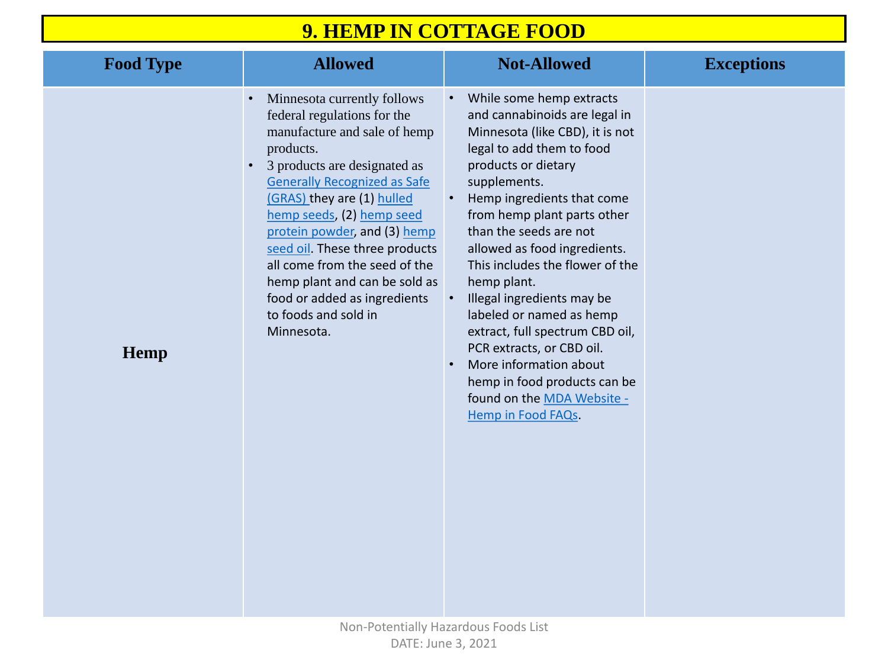| <b>Food Type</b> | <b>Allowed</b>                                                                                                                                                                                                                                                                                                                                                                                                                                      | <b>Not-Allowed</b>                                                                                                                                                                                                                                                                                                                                                                                                                                                                                                                                                                                          | <b>Exceptions</b> |
|------------------|-----------------------------------------------------------------------------------------------------------------------------------------------------------------------------------------------------------------------------------------------------------------------------------------------------------------------------------------------------------------------------------------------------------------------------------------------------|-------------------------------------------------------------------------------------------------------------------------------------------------------------------------------------------------------------------------------------------------------------------------------------------------------------------------------------------------------------------------------------------------------------------------------------------------------------------------------------------------------------------------------------------------------------------------------------------------------------|-------------------|
| Hemp             | Minnesota currently follows<br>federal regulations for the<br>manufacture and sale of hemp<br>products.<br>3 products are designated as<br><b>Generally Recognized as Safe</b><br>(GRAS) they are (1) hulled<br>hemp seeds, (2) hemp seed<br>protein powder, and (3) hemp<br>seed oil. These three products<br>all come from the seed of the<br>hemp plant and can be sold as<br>food or added as ingredients<br>to foods and sold in<br>Minnesota. | While some hemp extracts<br>$\bullet$<br>and cannabinoids are legal in<br>Minnesota (like CBD), it is not<br>legal to add them to food<br>products or dietary<br>supplements.<br>Hemp ingredients that come<br>from hemp plant parts other<br>than the seeds are not<br>allowed as food ingredients.<br>This includes the flower of the<br>hemp plant.<br>Illegal ingredients may be<br>labeled or named as hemp<br>extract, full spectrum CBD oil,<br>PCR extracts, or CBD oil.<br>More information about<br>$\bullet$<br>hemp in food products can be<br>found on the MDA Website -<br>Hemp in Food FAQs. |                   |

## **9. HEMP IN COTTAGE FOOD**

|                      | <b>Exceptions</b> |
|----------------------|-------------------|
| $\mathsf{n}$<br>ot   |                   |
|                      |                   |
| e<br>r               |                   |
| $\blacksquare$<br>he |                   |
| il,                  |                   |
| эe                   |                   |
|                      |                   |
|                      |                   |
|                      |                   |
|                      |                   |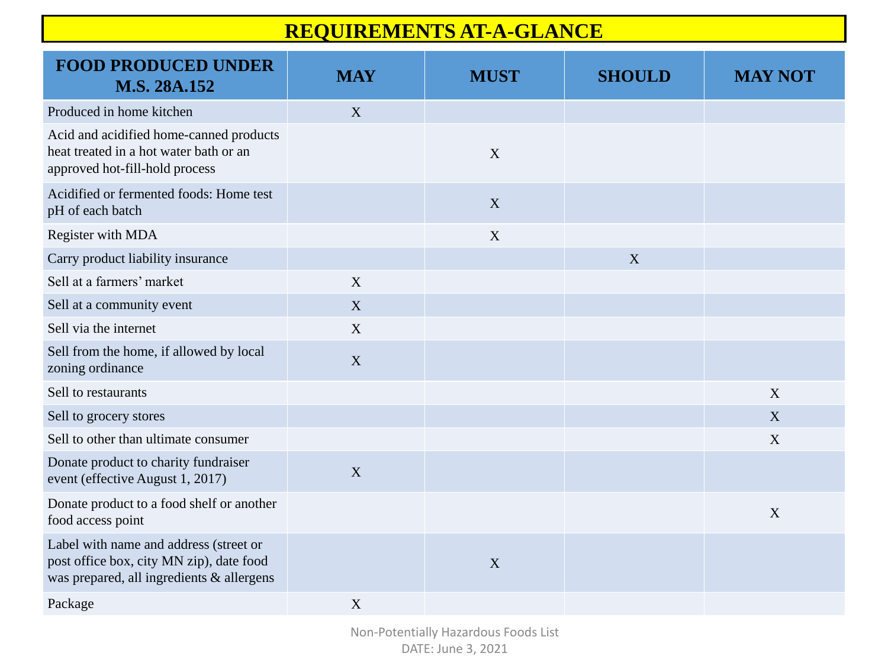## **REQUIREMENTS AT-A-GLANCE**

| <b>FOOD PRODUCED UNDER</b><br>M.S. 28A.152                                                                                      | <b>MAY</b> | <b>MUST</b> | <b>SHOULD</b> | <b>MAY NOT</b> |
|---------------------------------------------------------------------------------------------------------------------------------|------------|-------------|---------------|----------------|
| Produced in home kitchen                                                                                                        | X          |             |               |                |
| Acid and acidified home-canned products<br>heat treated in a hot water bath or an<br>approved hot-fill-hold process             |            | X           |               |                |
| Acidified or fermented foods: Home test<br>pH of each batch                                                                     |            | X           |               |                |
| <b>Register with MDA</b>                                                                                                        |            | X           |               |                |
| Carry product liability insurance                                                                                               |            |             | X             |                |
| Sell at a farmers' market                                                                                                       | X          |             |               |                |
| Sell at a community event                                                                                                       | X          |             |               |                |
| Sell via the internet                                                                                                           | X          |             |               |                |
| Sell from the home, if allowed by local<br>zoning ordinance                                                                     | X          |             |               |                |
| Sell to restaurants                                                                                                             |            |             |               | X              |
| Sell to grocery stores                                                                                                          |            |             |               | X              |
| Sell to other than ultimate consumer                                                                                            |            |             |               | X              |
| Donate product to charity fundraiser<br>event (effective August 1, 2017)                                                        | X          |             |               |                |
| Donate product to a food shelf or another<br>food access point                                                                  |            |             |               | X              |
| Label with name and address (street or<br>post office box, city MN zip), date food<br>was prepared, all ingredients & allergens |            | X           |               |                |
| Package                                                                                                                         | X          |             |               |                |

Non-Potentially Hazardous Foods List DATE: June 3, 2021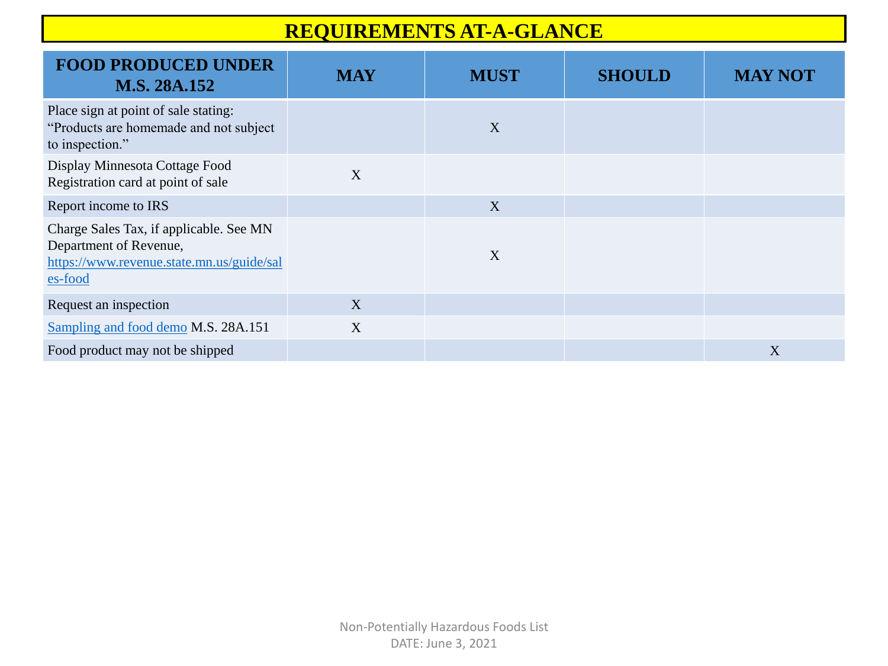## **REQUIREMENTS AT-A-GLANCE**

| <b>FOOD PRODUCED UNDER</b><br>M.S. 28A.152                                                                                | <b>MAY</b> | <b>MUST</b>      | <b>SHOULD</b> | <b>MAY NOT</b> |
|---------------------------------------------------------------------------------------------------------------------------|------------|------------------|---------------|----------------|
| Place sign at point of sale stating:<br>"Products are homemade and not subject<br>to inspection."                         |            | $\boldsymbol{X}$ |               |                |
| Display Minnesota Cottage Food<br>Registration card at point of sale                                                      | X          |                  |               |                |
| Report income to IRS                                                                                                      |            | X                |               |                |
| Charge Sales Tax, if applicable. See MN<br>Department of Revenue,<br>https://www.revenue.state.mn.us/guide/sal<br>es-food |            | X                |               |                |
| Request an inspection                                                                                                     | X          |                  |               |                |
| Sampling and food demo M.S. 28A.151                                                                                       | X          |                  |               |                |
| Food product may not be shipped                                                                                           |            |                  |               | X              |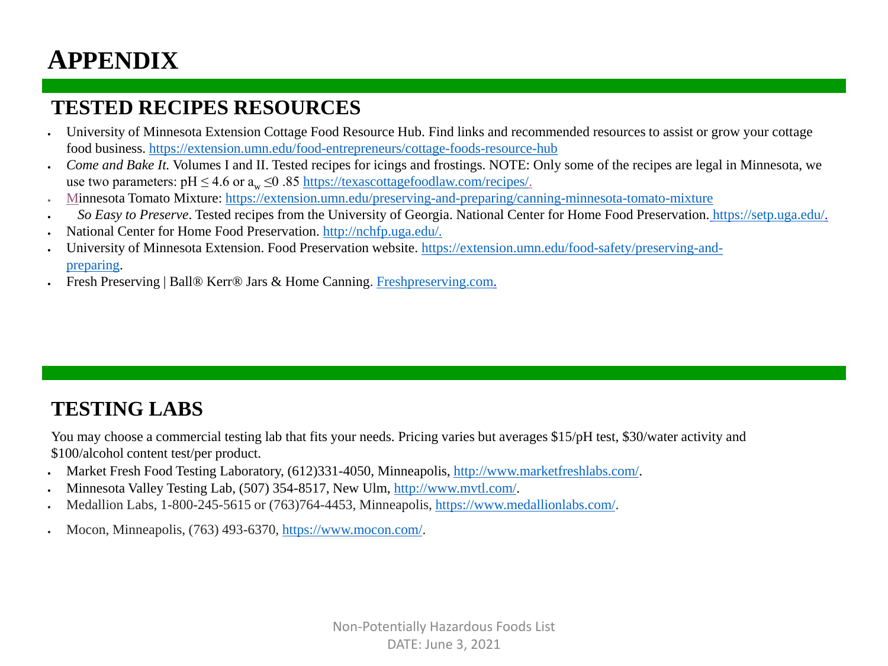# **APPENDIX**

- University of Minnesota Extension Cottage Food Resource Hub. Find links and recommended resources to assist or grow your cottage food business. <https://extension.umn.edu/food-entrepreneurs/cottage-foods-resource-hub>
- *Come and Bake It.* Volumes I and II. Tested recipes for icings and frostings. NOTE: Only some of the recipes are legal in Minnesota, we use two parameters:  $pH \le 4.6$  or  $a_w \le 0.85$ <https://texascottagefoodlaw.com/recipes/>.
- Minnesota Tomato Mixture: <https://extension.umn.edu/preserving-and-preparing/canning-minnesota-tomato-mixture>
- *So Easy to Preserve*. Tested recipes from the University of Georgia. National Center for Home Food Preservation. [https://setp.uga.edu/.](https://setp.uga.edu/)
- National Center for Home Food Preservation. [http://nchfp.uga.edu/.](http://nchfp.uga.edu/)
- [University of Minnesota Extension. Food Preservation website.](https://extension.umn.edu/food-safety/preserving-and-preparing) https://extension.umn.edu/food-safety/preserving-andpreparing.
- Fresh Preserving | Ball® Kerr® Jars & Home Canning. [Freshpreserving.com](https://www.freshpreserving.com/home).

## **TESTED RECIPES RESOURCES**

- Market Fresh Food Testing Laboratory, (612)331-4050, Minneapolis,<http://www.marketfreshlabs.com/>.
- Minnesota Valley Testing Lab, (507) 354-8517, New Ulm, [http://www.mvtl.com/.](http://www.mvtl.com/)
- Medallion Labs, 1-800-245-5615 or (763)764-4453, Minneapolis, <https://www.medallionlabs.com/>.
- Mocon, Minneapolis, (763) 493-6370, [https://www.mocon.com/.](https://www.mocon.com/)

## **TESTING LABS**

You may choose a commercial testing lab that fits your needs. Pricing varies but averages \$15/pH test, \$30/water activity and \$100/alcohol content test/per product.